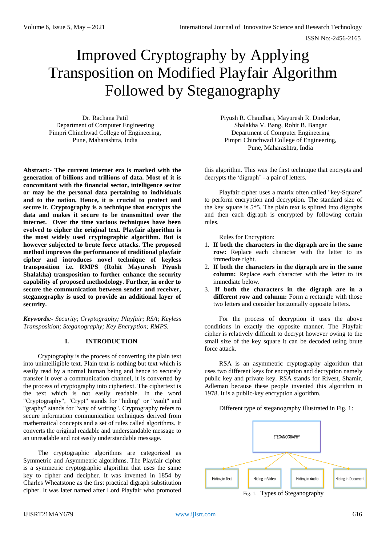# Improved Cryptography by Applying Transposition on Modified Playfair Algorithm Followed by Steganography

Dr. Rachana Patil Department of Computer Engineering Pimpri Chinchwad College of Engineering, Pune, Maharashtra, India

**Abstract:- The current internet era is marked with the generation of billions and trillions of data. Most of it is concomitant with the financial sector, intelligence sector or may be the personal data pertaining to individuals and to the nation. Hence, it is crucial to protect and secure it. Cryptography is a technique that encrypts the data and makes it secure to be transmitted over the internet. Over the time various techniques have been evolved to cipher the original text. Playfair algorithm is the most widely used cryptographic algorithm. But is however subjected to brute force attacks. The proposed method improves the performance of traditional playfair cipher and introduces novel technique of keyless transposition i.e. RMPS (Rohit Mayuresh Piyush Shalakha) transposition to further enhance the security capability of proposed methodology. Further, in order to secure the communication between sender and receiver, steganography is used to provide an additional layer of security.**

*Keywords:- Security; Cryptography; Playfair; RSA; Keyless Transposition; Steganography; Key Encryption; RMPS.*

## **I. INTRODUCTION**

Cryptography is the process of converting the plain text into unintelligible text. Plain text is nothing but text which is easily read by a normal human being and hence to securely transfer it over a communication channel, it is converted by the process of cryptography into ciphertext. The ciphertext is the text which is not easily readable. In the word "Cryptography", "Crypt" stands for "hiding" or "vault" and "graphy" stands for "way of writing". Cryptography refers to secure information communication techniques derived from mathematical concepts and a set of rules called algorithms. It converts the original readable and understandable message to an unreadable and not easily understandable message.

The cryptographic algorithms are categorized as Symmetric and Asymmetric algorithms. The Playfair cipher is a symmetric cryptographic algorithm that uses the same key to cipher and decipher. It was invented in 1854 by Charles Wheatstone as the first practical digraph substitution cipher. It was later named after Lord Playfair who promoted

Piyush R. Chaudhari, Mayuresh R. Dindorkar, Shalakha V. Bang, Rohit B. Bangar Department of Computer Engineering Pimpri Chinchwad College of Engineering, Pune, Maharashtra, India

this algorithm. This was the first technique that encrypts and decrypts the 'digraph' - a pair of letters.

Playfair cipher uses a matrix often called "key-Square" to perform encryption and decryption. The standard size of the key square is 5\*5. The plain text is splitted into digraphs and then each digraph is encrypted by following certain rules.

Rules for Encryption:

- 1. **If both the characters in the digraph are in the same row:** Replace each character with the letter to its immediate right.
- 2. **If both the characters in the digraph are in the same column:** Replace each character with the letter to its immediate below.
- 3. **If both the characters in the digraph are in a**  different row and column: Form a rectangle with those two letters and consider horizontally opposite letters.

For the process of decryption it uses the above conditions in exactly the opposite manner. The Playfair cipher is relatively difficult to decrypt however owing to the small size of the key square it can be decoded using brute force attack.

RSA is an asymmetric cryptography algorithm that uses two different keys for encryption and decryption namely public key and private key. RSA stands for Rivest, Shamir, Adleman because these people invented this algorithm in 1978. It is a public-key encryption algorithm.

Different type of steganography illustrated in Fig. 1:



Fig. 1. Types of Steganography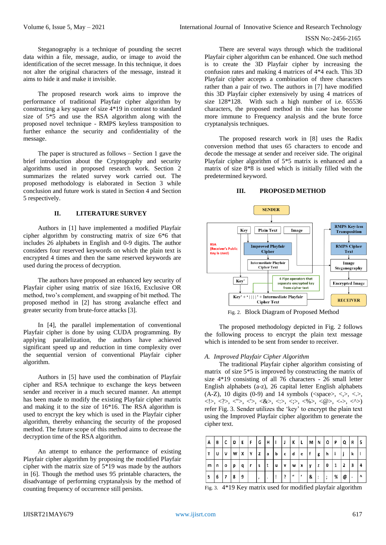Steganography is a technique of pounding the secret data within a file, message, audio, or image to avoid the identification of the secret message. In this technique, it does not alter the original characters of the message, instead it aims to hide it and make it invisible.

The proposed research work aims to improve the performance of traditional Playfair cipher algorithm by constructing a key square of size 4\*19 in contrast to standard size of 5\*5 and use the RSA algorithm along with the proposed novel technique - RMPS keyless transposition to further enhance the security and confidentiality of the message.

The paper is structured as follows – Section 1 gave the brief introduction about the Cryptography and security algorithms used in proposed research work. Section 2 summarizes the related survey work carried out. The proposed methodology is elaborated in Section 3 while conclusion and future work is stated in Section 4 and Section 5 respectively.

## **II. LITERATURE SURVEY**

Authors in [1] have implemented a modified Playfair cipher algorithm by constructing matrix of size 6\*6 that includes 26 alphabets in English and 0-9 digits. The author considers four reserved keywords on which the plain text is encrypted 4 times and then the same reserved keywords are used during the process of decryption.

The authors have proposed an enhanced key security of Playfair cipher using matrix of size 16x16, Exclusive OR method, two's complement, and swapping of bit method. The proposed method in [2] has strong avalanche effect and greater security from brute-force attacks [3].

In [4], the parallel implementation of conventional Playfair cipher is done by using CUDA programming. By applying parallelization, the authors have achieved significant speed up and reduction in time complexity over the sequential version of conventional Playfair cipher algorithm.

Authors in [5] have used the combination of Playfair cipher and RSA technique to exchange the keys between sender and receiver in a much secured manner. An attempt has been made to modify the existing Playfair cipher matrix and making it to the size of 16\*16. The RSA algorithm is used to encrypt the key which is used in the Playfair cipher algorithm, thereby enhancing the security of the proposed method. The future scope of this method aims to decrease the decryption time of the RSA algorithm.

An attempt to enhance the performance of existing Playfair cipher algorithm by proposing the modified Playfair cipher with the matrix size of 5\*19 was made by the authors in [6]. Though the method uses 95 printable characters, the disadvantage of performing cryptanalysis by the method of counting frequency of occurrence still persists.

There are several ways through which the traditional Playfair cipher algorithm can be enhanced. One such method is to create the 3D Playfair cipher by increasing the confusion rates and making 4 matrices of 4\*4 each. This 3D Playfair cipher accepts a combination of three characters rather than a pair of two. The authors in [7] have modified this 3D Playfair cipher extensively by using 4 matrices of size 128\*128. With such a high number of i.e. 65536 characters, the proposed method in this case has become more immune to Frequency analysis and the brute force cryptanalysis techniques.

The proposed research work in [8] uses the Radix conversion method that uses 65 characters to encode and decode the message at sender and receiver side. The original Playfair cipher algorithm of 5\*5 matrix is enhanced and a matrix of size 8\*8 is used which is initially filled with the predetermined keyword.

#### **III. PROPOSED METHOD**



Fig. 2. Block Diagram of Proposed Method

The proposed methodology depicted in Fig. 2 follows the following process to encrypt the plain text message which is intended to be sent from sender to receiver.

#### *A. Improved Playfair Cipher Algorithm*

The traditional Playfair cipher algorithm consisting of matrix of size 5\*5 is improved by constructing the matrix of size 4\*19 consisting of all 76 characters - 26 small letter English alphabets (a-z), 26 capital letter English alphabets  $(A-Z)$ ,  $10$  digits  $(0-9)$  and  $14$  symbols  $(\leq$ space $\geq, \leq, \leq, \leq)$ , <!>, <?>, <">, <'>, <&>, <:>, <;>, <%>, <@>, <->, <^>) refer Fig. 3. Sender utilizes the 'key' to encrypt the plain text using the Improved Playfair cipher algorithm to generate the cipher text.

| Α | В | c | D | Е | F | ١G | Н |   |   | K                | L          | M | N | ٥      | P | Q | R | S |
|---|---|---|---|---|---|----|---|---|---|------------------|------------|---|---|--------|---|---|---|---|
| т | U | ٧ | W | X | Υ | z  | a | b | C | d                | е          |   | g | h      |   |   | k |   |
| m | n | 0 | р | a |   | s  |   | u | v | W                | х          | ν | z | 0      |   | 2 | 3 | 4 |
| 5 | 6 |   | 8 | 9 |   |    |   |   |   | $\boldsymbol{u}$ | $\epsilon$ | & | : | ٠<br>, | % | @ |   | Λ |

Fig. 3. 4\*19 Key matrix used for modified playfair algorithm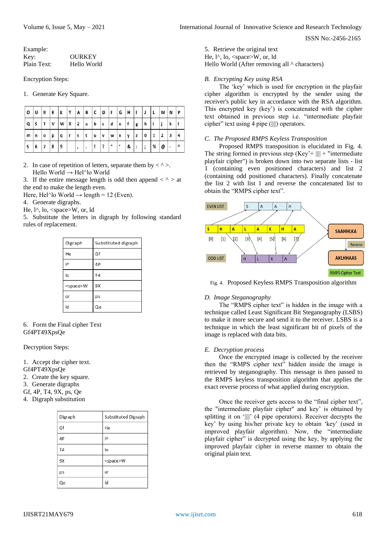| Example:    |               |
|-------------|---------------|
| Kev:        | <b>OURKEY</b> |
| Plain Text: | Hello World   |

Encryption Steps:

1. Generate Key Square.

| 0 | U | l R          | K  | I E | YA           |    |   |   |   |     | B C D F G H I |          |    |     | I L | M N            |     | I P       |
|---|---|--------------|----|-----|--------------|----|---|---|---|-----|---------------|----------|----|-----|-----|----------------|-----|-----------|
| Q | S | T            | ۱v | l w | $\mathsf{X}$ | ΙZ | a | b | С | l d | l e           | f        | Ιg | Ιh  |     |                | k   |           |
| m | n | $\mathbf{o}$ | р  | q   | . г          | s  | t | u | v | W   | $\mathbf x$   | ν        | z  | I 0 | l 1 | $\overline{2}$ | l 3 |           |
| 5 | 6 | 17           | 8  | و ا |              |    |   | ÷ | ? | "   | $\sqrt{ }$    | <b>8</b> | ı: | I ; | 1%  | @              | ٠   | $\lambda$ |

2. In case of repetition of letters, separate them by  $\langle \rangle$ . Hello World → Hel^lo World

3. If the entire message length is odd then append  $\langle \rangle$  at the end to make the length even.

Here, Hel^lo World  $\rightarrow$  length = 12 (Even).

4. Generate digraphs.

He,  $l^{\wedge}$ , lo,  $\langle$ space $>W$ , or, ld

5. Substitute the letters in digraph by following standard rules of replacement.

| Digraph          | Substituted digraph |
|------------------|---------------------|
| He               | Gf                  |
| Ι٨               | 4P                  |
| lo               | <b>T4</b>           |
| <space>W</space> | 9X                  |
| or               | ps                  |
| ld               | Qe                  |

6. Form the Final cipher Text Gf4PT49XpsQe

Decryption Steps:

1. Accept the cipher text.

Gf4PT49XpsQe

- 2. Create the key square.
- 3. Generate digraphs
- Gf, 4P, T4, 9X, ps, Qe
- 4. Digraph substitution

| Digraph        | Substituted Digraph |
|----------------|---------------------|
| Gf             | He                  |
| 4P             | I۸                  |
| T <sub>4</sub> | lo                  |
| 9Х             | <space>W</space>    |
| ps             | or                  |
| Оe             | Id                  |

5. Retrieve the original text He,  $l^{\wedge}$ , lo,  $\langle$ space $>W$ , or, ld

Hello World (After removing all  $\wedge$  characters)

## *B. Encrypting Key using RSA*

The 'key' which is used for encryption in the playfair cipher algorithm is encrypted by the sender using the receiver's public key in accordance with the RSA algorithm. This encrypted key (key') is concatenated with the cipher text obtained in previous step i.e. "intermediate playfair cipher" text using 4 pipe (||||) operators.

## *C. The Proposed RMPS Keyless Transposition*

Proposed RMPS transposition is elucidated in Fig. 4. The string formed in previous step  $(Key^* + ||| + ||\cdot||)$  + "intermediate" playfair cipher") is broken down into two separate lists - list 1 (containing even positioned characters) and list 2 (containing odd positioned characters). Finally concatenate the list 2 with list 1 and reverse the concatenated list to obtain the "RMPS cipher text".



Fig. 4. Proposed Keyless RMPS Transposition algorithm

## *D. Image Steganography*

The "RMPS cipher text" is hidden in the image with a technique called Least Significant Bit Steganography (LSBS) to make it more secure and send it to the receiver. LSBS is a technique in which the least significant bit of pixels of the image is replaced with data bits.

#### *E. Decryption process*

Once the encrypted image is collected by the receiver then the "RMPS cipher text" hidden inside the image is retrieved by steganography. This message is then passed to the RMPS keyless transposition algorithm that applies the exact reverse process of what applied during encryption.

Once the receiver gets access to the "final cipher text", the "intermediate playfair cipher" and key' is obtained by splitting it on '||||' (4 pipe operators). Receiver decrypts the key' by using his/her private key to obtain 'key' (used in improved playfair algorithm). Now, the "intermediate playfair cipher" is decrypted using the key, by applying the improved playfair cipher in reverse manner to obtain the original plain text.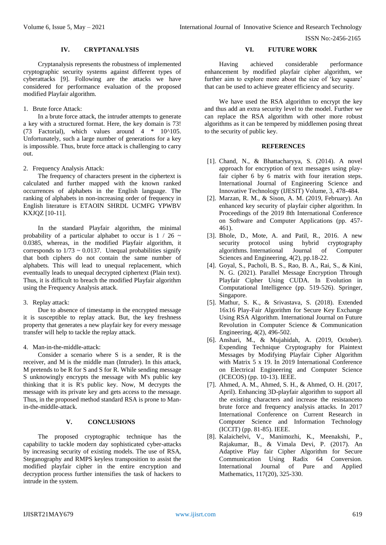#### **IV. CRYPTANALYSIS**

Cryptanalysis represents the robustness of implemented cryptographic security systems against different types of cyberattacks [9]. Following are the attacks we have considered for performance evaluation of the proposed modified Playfair algorithm.

#### 1. Brute force Attack:

In a brute force attack, the intruder attempts to generate a key with a structured format. Here, the key domain is 73! (73 Factorial), which values around  $4 * 10^{\text{A}}105$ . Unfortunately, such a large number of generations for a key is impossible. Thus, brute force attack is challenging to carry out.

2. Frequency Analysis Attack:

The frequency of characters present in the ciphertext is calculated and further mapped with the known ranked occurrences of alphabets in the English language. The ranking of alphabets in non-increasing order of frequency in English literature is ETAOIN SHRDL UCMFG YPWBV KXJQZ [10-11].

In the standard Playfair algorithm, the minimal probability of a particular alphabet to occur is  $1 / 26$  ~ 0.0385, whereas, in the modified Playfair algorithm, it corresponds to  $1/73 \sim 0.0137$ . Unequal probabilities signify that both ciphers do not contain the same number of alphabets. This will lead to unequal replacement, which eventually leads to unequal decrypted ciphertext (Plain text). Thus, it is difficult to breach the modified Playfair algorithm using the Frequency Analysis attack.

3. Replay attack:

Due to absence of timestamp in the encrypted message it is susceptible to replay attack. But, the key freshness property that generates a new playfair key for every message transfer will help to tackle the replay attack.

4. Man-in-the-middle-attack:

Consider a scenario where S is a sender, R is the receiver, and M is the middle man (Intruder). In this attack, M pretends to be R for S and S for R. While sending message S unknowingly encrypts the message with M's public key thinking that it is R's public key. Now, M decrypts the message with its private key and gets access to the message. Thus, in the proposed method standard RSA is prone to Manin-the-middle-attack.

## **V. CONCLUSIONS**

The proposed cryptographic technique has the capability to tackle modern day sophisticated cyber-attacks by increasing security of existing models. The use of RSA, Steganography and RMPS keyless transposition to assist the modified playfair cipher in the entire encryption and decryption process further intensifies the task of hackers to intrude in the system.

#### **VI. FUTURE WORK**

Having achieved considerable performance enhancement by modified playfair cipher algorithm, we further aim to explore more about the size of 'key square' that can be used to achieve greater efficiency and security.

We have used the RSA algorithm to encrypt the key and thus add an extra security level to the model. Further we can replace the RSA algorithm with other more robust algorithms as it can be tempered by middlemen posing threat to the security of public key.

## **REFERENCES**

- [1]. Chand, N., & Bhattacharyya, S. (2014). A novel approach for encryption of text messages using playfair cipher 6 by 6 matrix with four iteration steps. International Journal of Engineering Science and Innovative Technology (IJESIT) Volume, 3, 478-484.
- [2]. Marzan, R. M., & Sison, A. M. (2019, February). An enhanced key security of playfair cipher algorithm. In Proceedings of the 2019 8th International Conference on Software and Computer Applications (pp. 457- 461).
- [3]. Bhole, D., Mote, A. and Patil, R., 2016. A new security protocol using hybrid cryptography algorithms. International Journal of Computer Sciences and Engineering, 4(2), pp.18-22.
- [4]. Goyal, S., Pacholi, B. S., Rao, B. A., Rai, S., & Kini, N. G. (2021). Parallel Message Encryption Through Playfair Cipher Using CUDA. In Evolution in Computational Intelligence (pp. 519-526). Springer, Singapore.
- [5]. Mathur, S. K., & Srivastava, S. (2018). Extended 16x16 Play-Fair Algorithm for Secure Key Exchange Using RSA Algorithm. International Journal on Future Revolution in Computer Science & Communication Engineering, 4(2), 496-502.
- [6]. Anshari, M., & Mujahidah, A. (2019, October). Expending Technique Cryptography for Plaintext Messages by Modifying Playfair Cipher Algorithm with Matrix 5 x 19. In 2019 International Conference on Electrical Engineering and Computer Science (ICECOS) (pp. 10-13). IEEE.
- [7]. Ahmed, A. M., Ahmed, S. H., & Ahmed, O. H. (2017, April). Enhancing 3D-playfair algorithm to support all the existing characters and increase the resistanceto brute force and frequency analysis attacks. In 2017 International Conference on Current Research in Computer Science and Information Technology (ICCIT) (pp. 81-85). IEEE.
- [8]. Kalaichelvi, V., Manimozhi, K., Meenakshi, P., Rajakumar, B., & Vimala Devi, P. (2017). An Adaptive Play fair Cipher Algorithm for Secure Communication Using Radix 64 Conversion. International Journal of Pure and Applied Mathematics, 117(20), 325-330.